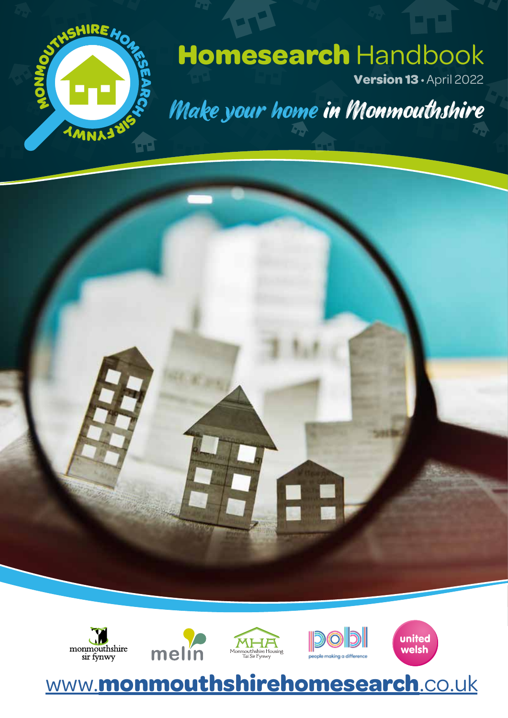

## **Homesearch** Handbook

**Version 13** • April 2022

Make your home in Monmouthshire





## www.**monmouthshirehomesearch**.co.uk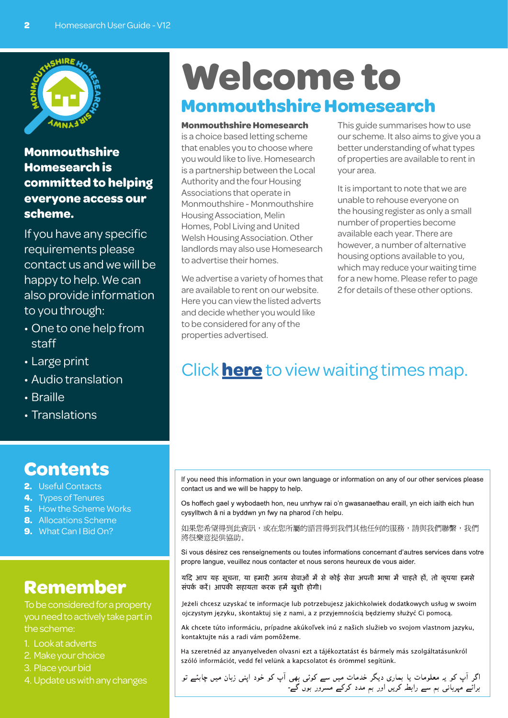

#### **Monmouthshire Homesearch is committed to helping everyone access our scheme.**

If you have any specific requirements please contact us and we will be happy to help. We can also provide information to you through:

- One to one help from staff
- Large print
- Audio translation
- Braille
- Translations

#### **Contents**

- **2.** Useful Contacts
- **4.** Types of Tenures
- **5.** How the Scheme Works
- **8.** Allocations Scheme
- **9.** What Can I Bid On?

#### **Remember**

To be considered for a property you need to actively take part in the scheme:

- 1. Look at adverts
- 2. Make your choice
- 3. Place your bid
- 4. Update us with any changes

## **Welcome to Monmouthshire Homesearch**

**Monmouthshire Homesearch**

is a choice based letting scheme that enables you to choose where you would like to live. Homesearch is a partnership between the Local Authority and the four Housing Associations that operate in Monmouthshire - Monmouthshire Housing Association, Melin Homes, Pobl Living and United Welsh Housing Association. Other landlords may also use Homesearch to advertise their homes.

We advertise a variety of homes that are available to rent on our website. Here you can view the listed adverts and decide whether you would like to be considered for any of the properties advertised.

This guide summarises how to use our scheme. It also aims to give you a better understanding of what types of properties are available to rent in your area.

It is important to note that we are unable to rehouse everyone on the housing register as only a small number of properties become available each year. There are however, a number of alternative housing options available to you, which may reduce your waiting time for a new home. Please refer to page 2 for details of these other options.

## Click **here** to view waiting times map.

If you need this information in your own language or information on any of our other services please contact us and we will be happy to help.

Os hoffech gael y wybodaeth hon, neu unrhyw rai o'n gwasanaethau eraill, yn eich iaith eich hun cysylltwch â ni a byddwn yn fwy na pharod i'ch helpu.

如果您希望得到此資訊,或在您所屬的語言得到我們其他任何的服務,請與我們聯繫,我們 將很樂意提供協助。

Si vous désirez ces renseignements ou toutes informations concernant d'autres services dans votre propre langue, veuillez nous contacter et nous serons heureux de vous aider.

यदि आप यह सूचना, या हमारी अनय सेवाओं में से कोई सेवा अपनी भाषा में चाहते हों, तो कृपया हमसे संपर्क करें। आपकी सहायता करक हमें खुशी होगी।

Jeżeli chcesz uzyskać te informacje lub potrzebujesz jakichkolwiek dodatkowych usług w swoim ojczystym języku, skontaktuj się z nami, a z przyjemnością będziemy służyć Ci pomocą.

Ak chcete túto informáciu, prípadne akúkoľvek inú z našich služieb vo svojom vlastnom jazyku, kontaktujte nás a radi vám pomôžeme.

Ha szeretnéd az anyanyelveden olvasni ezt a tájékoztatást és bármely más szolgáltatásunkról szóló információt, vedd fel velünk a kapcsolatot és örömmel segítünk.

اگر آپ کو یہ معلومات یا بماری دیگر خدمات میں سے کوئی بھی آپ کو خود اپنی زبان میں چاہئے تو<br>برائے مہربانی بم سے رابطہ کریں اور بم مدد کرکے مسرور بوں گے-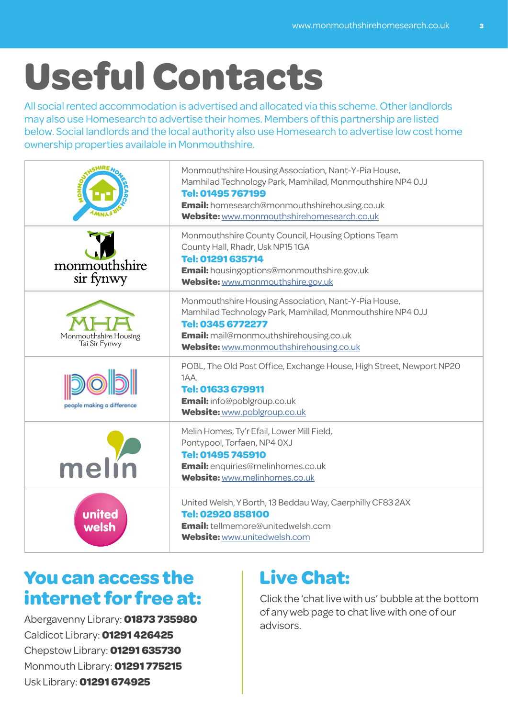# **Useful Contacts**

All social rented accommodation is advertised and allocated via this scheme. Other landlords may also use Homesearch to advertise their homes. Members of this partnership are listed below. Social landlords and the local authority also use Homesearch to advertise low cost home ownership properties available in Monmouthshire.

|                                        | Monmouthshire Housing Association, Nant-Y-Pia House,<br>Mamhilad Technology Park, Mamhilad, Monmouthshire NP4 OJJ<br>Tel: 01495 767199<br>Email: homesearch@monmouthshirehousing.co.uk<br>Website: www.monmouthshirehomesearch.co.uk |
|----------------------------------------|--------------------------------------------------------------------------------------------------------------------------------------------------------------------------------------------------------------------------------------|
| monmouthshire<br>sir fynwy             | Monmouthshire County Council, Housing Options Team<br>County Hall, Rhadr, Usk NP151GA<br>Tel: 01291 635714<br><b>Email:</b> housingoptions@monmouthshire.gov.uk<br>Website: www.monmouthshire.gov.uk                                 |
| Monmouthshire Housing<br>Tai Sir Fynwy | Monmouthshire Housing Association, Nant-Y-Pia House,<br>Mamhilad Technology Park, Mamhilad, Monmouthshire NP4 OJJ<br>Tel: 0345 6772277<br><b>Email:</b> mail@monmouthshirehousing.co.uk<br>Website: www.monmouthshirehousing.co.uk   |
| people making a difference             | POBL, The Old Post Office, Exchange House, High Street, Newport NP20<br>1AA.<br>Tel: 01633 679911<br><b>Email:</b> info@poblgroup.co.uk<br>Website: www.poblgroup.co.uk                                                              |
| me                                     | Melin Homes, Ty'r Efail, Lower Mill Field,<br>Pontypool, Torfaen, NP4 OXJ<br>Tel: 01495 745910<br>Email: enquiries@melinhomes.co.uk<br>Website: www.melinhomes.co.uk                                                                 |
| united<br>welsh                        | United Welsh, Y Borth, 13 Beddau Way, Caerphilly CF83 2AX<br>Tel: 02920 858100<br><b>Email:</b> tellmemore@unitedwelsh.com<br>Website: www.unitedwelsh.com                                                                           |

### **You can access the internet for free at:**

Abergavenny Library: **01873 735980** Caldicot Library: **01291 426425** Chepstow Library: **01291 635730** Monmouth Library: **01291 775215** Usk Library: **01291 674925**

## **Live Chat:**

Click the 'chat live with us' bubble at the bottom of any web page to chat live with one of our advisors.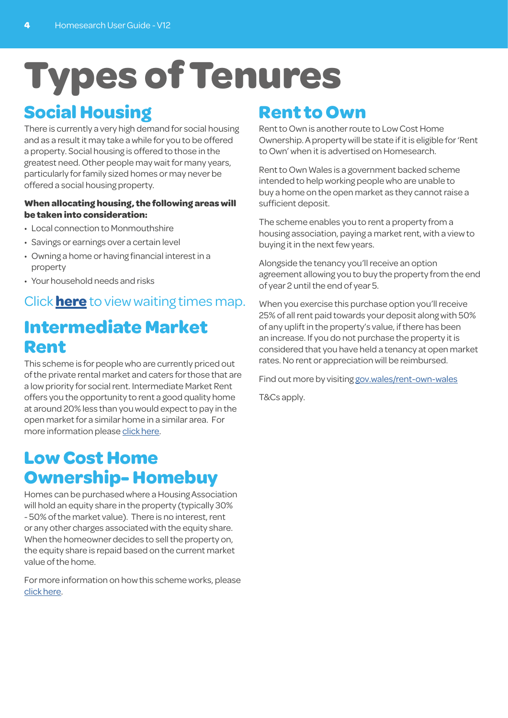# **Types of Tenures**

## **Social Housing**

There is currently a very high demand for social housing and as a result it may take a while for you to be offered a property. Social housing is offered to those in the greatest need. Other people may wait for many years, particularly for family sized homes or may never be offered a social housing property.

#### **When allocating housing, the following areas will be taken into consideration:**

- Local connection to Monmouthshire
- Savings or earnings over a certain level
- Owning a home or having financial interest in a property
- Your household needs and risks

#### Click **here** to view waiting times map.

## **Intermediate Market Rent**

This scheme is for people who are currently priced out of the private rental market and caters for those that are a low priority for social rent. Intermediate Market Rent offers you the opportunity to rent a good quality home at around 20% less than you would expect to pay in the open market for a similar home in a similar area. For more information please click here.

#### **Low Cost Home Ownership- Homebuy**

Homes can be purchased where a Housing Association will hold an equity share in the property (typically 30% - 50% of the market value). There is no interest, rent or any other charges associated with the equity share. When the homeowner decides to sell the property on, the equity share is repaid based on the current market value of the home.

For more information on how this scheme works, please click here.

#### **Rent to Own**

Rent to Own is another route to Low Cost Home Ownership. A property will be state if it is eligible for 'Rent to Own' when it is advertised on Homesearch.

Rent to Own Wales is a government backed scheme intended to help working people who are unable to buy a home on the open market as they cannot raise a sufficient deposit.

The scheme enables you to rent a property from a housing association, paying a market rent, with a view to buying it in the next few years.

Alongside the tenancy you'll receive an option agreement allowing you to buy the property from the end of year 2 until the end of year 5.

When you exercise this purchase option you'll receive 25% of all rent paid towards your deposit along with 50% of any uplift in the property's value, if there has been an increase. If you do not purchase the property it is considered that you have held a tenancy at open market rates. No rent or appreciation will be reimbursed.

Find out more by visiting gov.wales/rent-own-wales

T&Cs apply.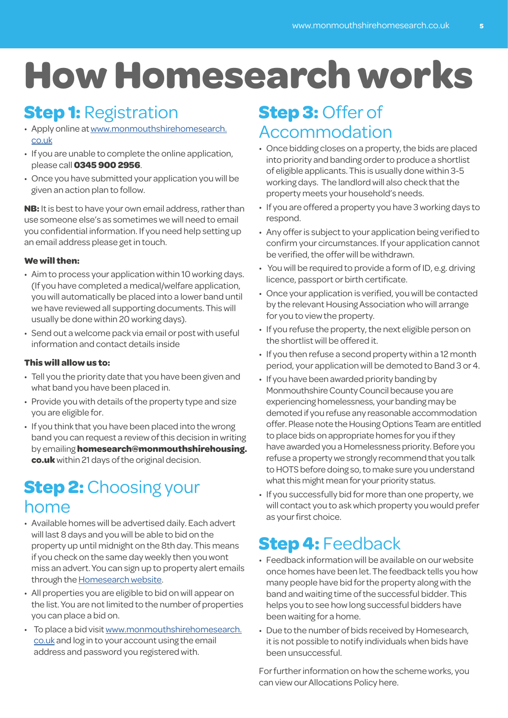# **How Homesearch works**

### **Step 1:** Registration

- Apply online at www.monmouthshirehomesearch. co.uk
- If you are unable to complete the online application, please call **0345 900 2956**.
- Once you have submitted your application you will be given an action plan to follow.

**NB:** It is best to have your own email address, rather than use someone else's as sometimes we will need to email you confidential information. If you need help setting up an email address please get in touch.

#### **We will then:**

- Aim to process your application within 10 working days. (If you have completed a medical/welfare application, you will automatically be placed into a lower band until we have reviewed all supporting documents. This will usually be done within 20 working days).
- Send out a welcome pack via email or post with useful information and contact details inside

#### **This will allow us to:**

- Tell you the priority date that you have been given and what band you have been placed in.
- Provide you with details of the property type and size you are eligible for.
- If you think that you have been placed into the wrong band you can request a review of this decision in writing by emailing **homesearch@monmouthshirehousing. co.uk** within 21 days of the original decision.

#### **Step 2:** Choosing your home

- Available homes will be advertised daily. Each advert will last 8 days and you will be able to bid on the property up until midnight on the 8th day. This means if you check on the same day weekly then you wont miss an advert. You can sign up to property alert emails through the Homesearch website.
- All properties you are eligible to bid on will appear on the list. You are not limited to the number of properties you can place a bid on.
- To place a bid visit www.monmouthshirehomesearch. co.uk and log in to your account using the email address and password you registered with.

#### **Step 3:** Offer of Accommodation

- Once bidding closes on a property, the bids are placed into priority and banding order to produce a shortlist of eligible applicants. This is usually done within 3-5 working days. The landlord will also check that the property meets your household's needs.
- If you are offered a property you have 3 working days to respond.
- Any offer is subject to your application being verified to confirm your circumstances. If your application cannot be verified, the offer will be withdrawn.
- You will be required to provide a form of ID, e.g. driving licence, passport or birth certificate.
- Once your application is verified, you will be contacted by the relevant Housing Association who will arrange for you to view the property.
- If you refuse the property, the next eligible person on the shortlist will be offered it.
- If you then refuse a second property within a 12 month period, your application will be demoted to Band 3 or 4.
- If you have been awarded priority banding by Monmouthshire County Council because you are experiencing homelessness, your banding may be demoted if you refuse any reasonable accommodation offer. Please note the Housing Options Team are entitled to place bids on appropriate homes for you if they have awarded you a Homelessness priority. Before you refuse a property we strongly recommend that you talk to HOTS before doing so, to make sure you understand what this might mean for your priority status.
- If you successfully bid for more than one property, we will contact you to ask which property you would prefer as your first choice.

### **Step 4:** Feedback

- Feedback information will be available on our website once homes have been let. The feedback tells you how many people have bid for the property along with the band and waiting time of the successful bidder. This helps you to see how long successful bidders have been waiting for a home.
- Due to the number of bids received by Homesearch, it is not possible to notify individuals when bids have been unsuccessful.

For further information on how the scheme works, you can view our Allocations Policy here.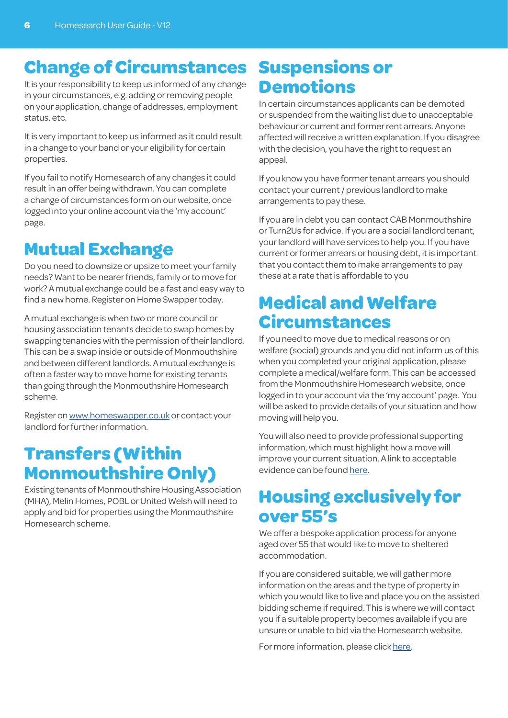## **Change of Circumstances**

It is your responsibility to keep us informed of any change in your circumstances, e.g. adding or removing people on your application, change of addresses, employment status, etc.

It is very important to keep us informed as it could result in a change to your band or your eligibility for certain properties.

If you fail to notify Homesearch of any changes it could result in an offer being withdrawn. You can complete a change of circumstances form on our website, once logged into your online account via the 'my account' page.

### **Mutual Exchange**

Do you need to downsize or upsize to meet your family needs? Want to be nearer friends, family or to move for work? A mutual exchange could be a fast and easy way to find a new home. Register on Home Swapper today.

A mutual exchange is when two or more council or housing association tenants decide to swap homes by swapping tenancies with the permission of their landlord. This can be a swap inside or outside of Monmouthshire and between different landlords. A mutual exchange is often a faster way to move home for existing tenants than going through the Monmouthshire Homesearch scheme.

Register on www.homeswapper.co.uk or contact your landlord for further information.

#### **Transfers (Within Monmouthshire Only)**

Existing tenants of Monmouthshire Housing Association (MHA), Melin Homes, POBL or United Welsh will need to apply and bid for properties using the Monmouthshire Homesearch scheme.

#### **Suspensions or Demotions**

In certain circumstances applicants can be demoted or suspended from the waiting list due to unacceptable behaviour or current and former rent arrears. Anyone affected will receive a written explanation. If you disagree with the decision, you have the right to request an appeal.

If you know you have former tenant arrears you should contact your current / previous landlord to make arrangements to pay these.

If you are in debt you can contact CAB Monmouthshire or Turn2Us for advice. If you are a social landlord tenant, your landlord will have services to help you. If you have current or former arrears or housing debt, it is important that you contact them to make arrangements to pay these at a rate that is affordable to you

#### **Medical and Welfare Circumstances**

If you need to move due to medical reasons or on welfare (social) grounds and you did not inform us of this when you completed your original application, please complete a medical/welfare form. This can be accessed from the Monmouthshire Homesearch website, once logged in to your account via the 'my account' page. You will be asked to provide details of your situation and how moving will help you.

You will also need to provide professional supporting information, which must highlight how a move will improve your current situation. A link to acceptable evidence can be found here.

#### **Housing exclusively for over 55's**

We offer a bespoke application process for anyone aged over 55 that would like to move to sheltered accommodation.

If you are considered suitable, we will gather more information on the areas and the type of property in which you would like to live and place you on the assisted bidding scheme if required. This is where we will contact you if a suitable property becomes available if you are unsure or unable to bid via the Homesearch website.

For more information, please click here.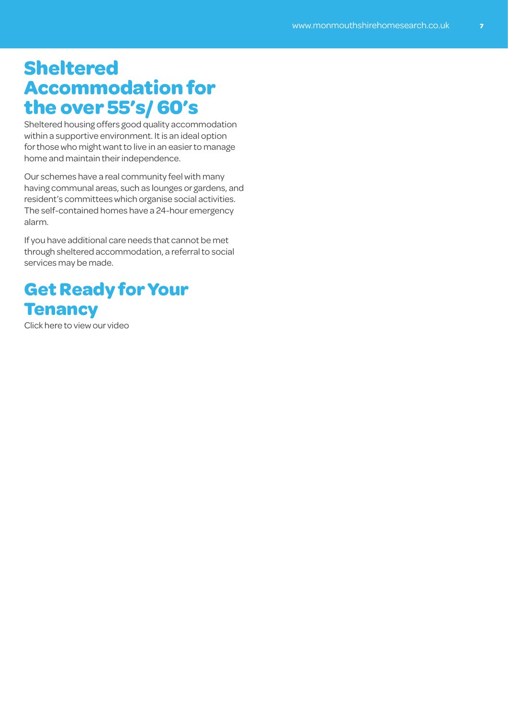#### **Sheltered Accommodation for the over 55's/ 60's**

Sheltered housing offers good quality accommodation within a supportive environment. It is an ideal option for those who might want to live in an easier to manage home and maintain their independence.

Our schemes have a real community feel with many having communal areas, such as lounges or gardens, and resident's committees which organise social activities. The self-contained homes have a 24-hour emergency alarm.

If you have additional care needs that cannot be met through sheltered accommodation, a referral to social services may be made.

#### **Get Ready for Your Tenancy**

Click here to view our video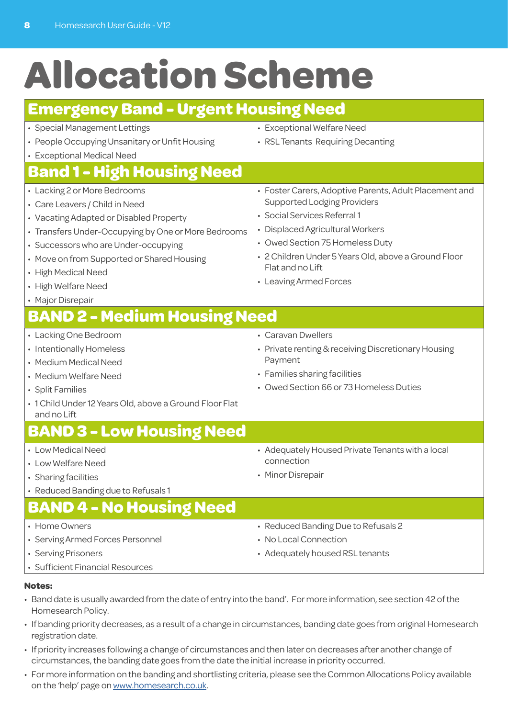# **Allocation Scheme**

#### **Emergency Band - Urgent Housing Need**

| • Special Management Lettings                           | • Exceptional Welfare Need                                               |  |  |  |  |  |  |  |
|---------------------------------------------------------|--------------------------------------------------------------------------|--|--|--|--|--|--|--|
| • People Occupying Unsanitary or Unfit Housing          | • RSL Tenants Requiring Decanting                                        |  |  |  |  |  |  |  |
| • Exceptional Medical Need                              |                                                                          |  |  |  |  |  |  |  |
| <b>Band 1 - High Housing Need</b>                       |                                                                          |  |  |  |  |  |  |  |
| • Lacking 2 or More Bedrooms                            | • Foster Carers, Adoptive Parents, Adult Placement and                   |  |  |  |  |  |  |  |
| • Care Leavers / Child in Need                          | <b>Supported Lodging Providers</b>                                       |  |  |  |  |  |  |  |
| • Vacating Adapted or Disabled Property                 | · Social Services Referral 1                                             |  |  |  |  |  |  |  |
| • Transfers Under-Occupying by One or More Bedrooms     | • Displaced Agricultural Workers                                         |  |  |  |  |  |  |  |
| • Successors who are Under-occupying                    | • Owed Section 75 Homeless Duty                                          |  |  |  |  |  |  |  |
| • Move on from Supported or Shared Housing              | · 2 Children Under 5 Years Old, above a Ground Floor<br>Flat and no Lift |  |  |  |  |  |  |  |
| • High Medical Need                                     | • Leaving Armed Forces                                                   |  |  |  |  |  |  |  |
| • High Welfare Need<br>• Major Disrepair                |                                                                          |  |  |  |  |  |  |  |
|                                                         |                                                                          |  |  |  |  |  |  |  |
| <b>BAND 2 - Medium Housing Need</b>                     |                                                                          |  |  |  |  |  |  |  |
| • Lacking One Bedroom                                   | • Caravan Dwellers                                                       |  |  |  |  |  |  |  |
| • Intentionally Homeless                                | • Private renting & receiving Discretionary Housing                      |  |  |  |  |  |  |  |
| • Medium Medical Need                                   | Payment                                                                  |  |  |  |  |  |  |  |
| • Medium Welfare Need                                   | • Families sharing facilities                                            |  |  |  |  |  |  |  |
| • Split Families                                        | • Owed Section 66 or 73 Homeless Duties                                  |  |  |  |  |  |  |  |
| · 1 Child Under 12 Years Old, above a Ground Floor Flat |                                                                          |  |  |  |  |  |  |  |
| and no Lift                                             |                                                                          |  |  |  |  |  |  |  |
| <b>BAND 3 - Low Housing Need</b>                        |                                                                          |  |  |  |  |  |  |  |
| • Low Medical Need                                      | • Adequately Housed Private Tenants with a local                         |  |  |  |  |  |  |  |
| • Low Welfare Need                                      | connection                                                               |  |  |  |  |  |  |  |
| • Sharing facilities                                    | • Minor Disrepair                                                        |  |  |  |  |  |  |  |
| • Reduced Banding due to Refusals 1                     |                                                                          |  |  |  |  |  |  |  |
| <b>BAND 4 - No Housing Need</b>                         |                                                                          |  |  |  |  |  |  |  |
| • Home Owners                                           | • Reduced Banding Due to Refusals 2                                      |  |  |  |  |  |  |  |
| • Serving Armed Forces Personnel                        | • No Local Connection                                                    |  |  |  |  |  |  |  |
| • Serving Prisoners                                     | • Adequately housed RSL tenants                                          |  |  |  |  |  |  |  |
| • Sufficient Financial Resources                        |                                                                          |  |  |  |  |  |  |  |

#### **Notes:**

- Band date is usually awarded from the date of entry into the band'. For more information, see section 42 of the Homesearch Policy.
- If banding priority decreases, as a result of a change in circumstances, banding date goes from original Homesearch registration date.
- If priority increases following a change of circumstances and then later on decreases after another change of circumstances, the banding date goes from the date the initial increase in priority occurred.
- For more information on the banding and shortlisting criteria, please see the Common Allocations Policy available on the 'help' page on www.homesearch.co.uk.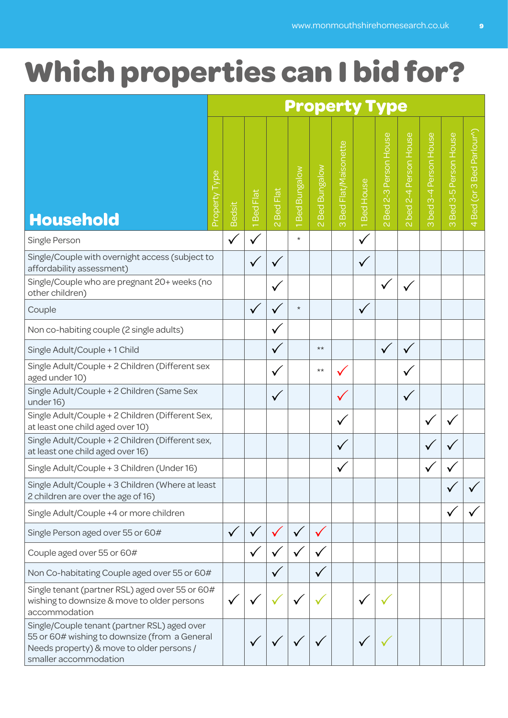# **Which properties can I bid for?**

|                                                                                                                                                                     | <b>Property Type</b> |              |          |                                      |                 |                                          |                                        |                     |                                                         |                                   |                                      |                                            |                                                                               |
|---------------------------------------------------------------------------------------------------------------------------------------------------------------------|----------------------|--------------|----------|--------------------------------------|-----------------|------------------------------------------|----------------------------------------|---------------------|---------------------------------------------------------|-----------------------------------|--------------------------------------|--------------------------------------------|-------------------------------------------------------------------------------|
| <b>Household</b>                                                                                                                                                    | Property Type        | Bedsit       | Bed Flat | <b>Bed Flat</b><br>$\mathbf{\Omega}$ | Bungalow<br>Bed | <b>Bed Bungalow</b><br>$\mathbf{\alpha}$ | <b>Bed Flat/Maisonette</b><br>$\infty$ | House<br><b>Bed</b> | Person House<br>$2-3$<br>Bed<br>$\overline{\mathsf{N}}$ | 2-4 Person House<br>bed<br>$\sim$ | 3-4 Person House<br>bed.<br>$\infty$ | Person House<br>Ю<br>ത്<br>Bed<br>$\infty$ | Parlour <sup>r</sup> )<br><b>Bed</b><br>$\infty$<br>Bed (or<br>$\overline{4}$ |
| Single Person                                                                                                                                                       |                      | $\checkmark$ |          |                                      | $\star$         |                                          |                                        | ν                   |                                                         |                                   |                                      |                                            |                                                                               |
| Single/Couple with overnight access (subject to<br>affordability assessment)                                                                                        |                      |              |          |                                      |                 |                                          |                                        | $\checkmark$        |                                                         |                                   |                                      |                                            |                                                                               |
| Single/Couple who are pregnant 20+ weeks (no<br>other children)                                                                                                     |                      |              |          | ν                                    |                 |                                          |                                        |                     | ✓                                                       | $\checkmark$                      |                                      |                                            |                                                                               |
| Couple                                                                                                                                                              |                      |              | ✓        | v                                    | $\star$         |                                          |                                        | $\checkmark$        |                                                         |                                   |                                      |                                            |                                                                               |
| Non co-habiting couple (2 single adults)                                                                                                                            |                      |              |          | v                                    |                 |                                          |                                        |                     |                                                         |                                   |                                      |                                            |                                                                               |
| Single Adult/Couple + 1 Child                                                                                                                                       |                      |              |          | $\checkmark$                         |                 | $\star\star$                             |                                        |                     | $\checkmark$                                            | $\checkmark$                      |                                      |                                            |                                                                               |
| Single Adult/Couple + 2 Children (Different sex<br>aged under 10)                                                                                                   |                      |              |          | $\mathbf{v}$                         |                 | $***$                                    |                                        |                     |                                                         | $\checkmark$                      |                                      |                                            |                                                                               |
| Single Adult/Couple + 2 Children (Same Sex<br>under 16)                                                                                                             |                      |              |          | $\checkmark$                         |                 |                                          |                                        |                     |                                                         | $\checkmark$                      |                                      |                                            |                                                                               |
| Single Adult/Couple + 2 Children (Different Sex,<br>at least one child aged over 10)                                                                                |                      |              |          |                                      |                 |                                          | $\checkmark$                           |                     |                                                         |                                   | ✓                                    |                                            |                                                                               |
| Single Adult/Couple + 2 Children (Different sex,<br>at least one child aged over 16)                                                                                |                      |              |          |                                      |                 |                                          | $\checkmark$                           |                     |                                                         |                                   |                                      |                                            |                                                                               |
| Single Adult/Couple + 3 Children (Under 16)                                                                                                                         |                      |              |          |                                      |                 |                                          |                                        |                     |                                                         |                                   |                                      |                                            |                                                                               |
| Single Adult/Couple + 3 Children (Where at least<br>2 children are over the age of 16)                                                                              |                      |              |          |                                      |                 |                                          |                                        |                     |                                                         |                                   |                                      |                                            |                                                                               |
| Single Adult/Couple +4 or more children                                                                                                                             |                      |              |          |                                      |                 |                                          |                                        |                     |                                                         |                                   |                                      |                                            |                                                                               |
| Single Person aged over 55 or 60#                                                                                                                                   |                      | $\checkmark$ |          |                                      |                 |                                          |                                        |                     |                                                         |                                   |                                      |                                            |                                                                               |
| Couple aged over 55 or 60#                                                                                                                                          |                      |              |          |                                      |                 |                                          |                                        |                     |                                                         |                                   |                                      |                                            |                                                                               |
| Non Co-habitating Couple aged over 55 or 60#                                                                                                                        |                      |              |          |                                      |                 |                                          |                                        |                     |                                                         |                                   |                                      |                                            |                                                                               |
| Single tenant (partner RSL) aged over 55 or 60#<br>wishing to downsize & move to older persons<br>accommodation                                                     |                      |              |          |                                      |                 |                                          |                                        |                     |                                                         |                                   |                                      |                                            |                                                                               |
| Single/Couple tenant (partner RSL) aged over<br>55 or 60# wishing to downsize (from a General<br>Needs property) & move to older persons /<br>smaller accommodation |                      |              |          |                                      |                 |                                          |                                        |                     |                                                         |                                   |                                      |                                            |                                                                               |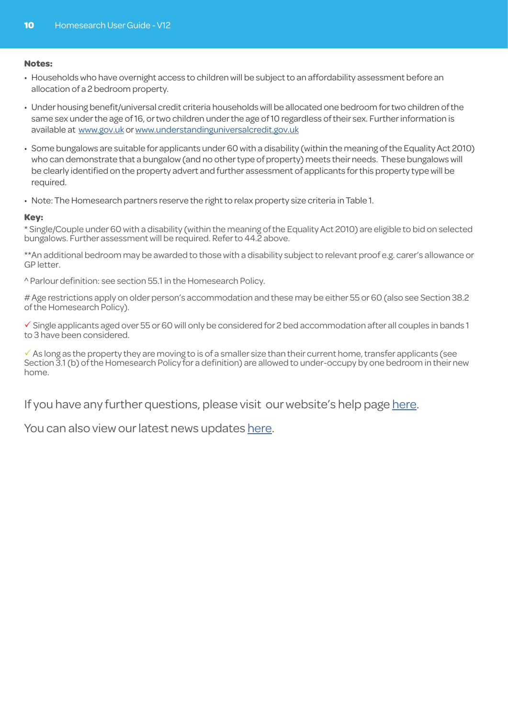#### **Notes:**

- Households who have overnight access to children will be subject to an affordability assessment before an allocation of a 2 bedroom property.
- Under housing benefit/universal credit criteria households will be allocated one bedroom for two children of the same sex under the age of 16, or two children under the age of 10 regardless of their sex. Further information is available at www.gov.uk or www.understandinguniversalcredit.gov.uk
- Some bungalows are suitable for applicants under 60 with a disability (within the meaning of the Equality Act 2010) who can demonstrate that a bungalow (and no other type of property) meets their needs. These bungalows will be clearly identified on the property advert and further assessment of applicants for this property type will be required.
- Note: The Homesearch partners reserve the right to relax property size criteria in Table 1.

#### **Key:**

\* Single/Couple under 60 with a disability (within the meaning of the Equality Act 2010) are eligible to bid on selected bungalows. Further assessment will be required. Refer to 44.2 above.

\*\*An additional bedroom may be awarded to those with a disability subject to relevant proof e.g. carer's allowance or GP letter.

^ Parlour definition: see section 55.1 in the Homesearch Policy.

# Age restrictions apply on older person's accommodation and these may be either 55 or 60 (also see Section 38.2 of the Homesearch Policy).

 $\checkmark$  Single applicants aged over 55 or 60 will only be considered for 2 bed accommodation after all couples in bands 1 to 3 have been considered.

 $\checkmark$  As long as the property they are moving to is of a smaller size than their current home, transfer applicants (see Section 3.1 (b) of the Homesearch Policy for a definition) are allowed to under-occupy by one bedroom in their new home.

If you have any further questions, please visit our website's help page here.

You can also view our latest news updates here.